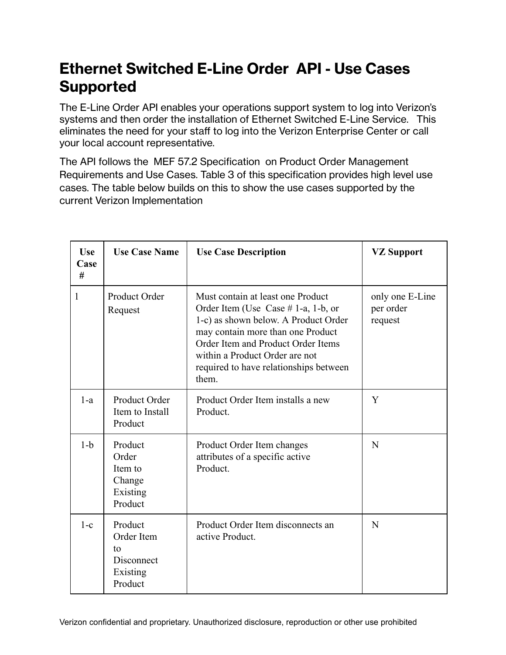## **Ethernet Switched E-Line Order API - Use Cases Supported**

The E-Line Order API enables your operations support system to log into Verizon's systems and then order the installation of Ethernet Switched E-Line Service. This eliminates the need for your staff to log into the Verizon Enterprise Center or call your local account representative.

The API follows the MEF 57.2 Specification on Product Order Management Requirements and Use Cases. Table 3 of this specification provides high level use cases. The table below builds on this to show the use cases supported by the current Verizon Implementation

| <b>Use</b><br>Case<br># | <b>Use Case Name</b>                                             | <b>Use Case Description</b>                                                                                                                                                                                                                                                         | <b>VZ Support</b>                       |
|-------------------------|------------------------------------------------------------------|-------------------------------------------------------------------------------------------------------------------------------------------------------------------------------------------------------------------------------------------------------------------------------------|-----------------------------------------|
| 1                       | Product Order<br>Request                                         | Must contain at least one Product<br>Order Item (Use Case $# 1-a$ , 1-b, or<br>1-c) as shown below. A Product Order<br>may contain more than one Product<br>Order Item and Product Order Items<br>within a Product Order are not<br>required to have relationships between<br>them. | only one E-Line<br>per order<br>request |
| $1-a$                   | Product Order<br>Item to Install<br>Product                      | Product Order Item installs a new<br>Product.                                                                                                                                                                                                                                       | Y                                       |
| $1-b$                   | Product<br>Order<br>Item to<br>Change<br>Existing<br>Product     | Product Order Item changes<br>attributes of a specific active<br>Product.                                                                                                                                                                                                           | N                                       |
| $1-c$                   | Product<br>Order Item<br>to<br>Disconnect<br>Existing<br>Product | Product Order Item disconnects an<br>active Product.                                                                                                                                                                                                                                | N                                       |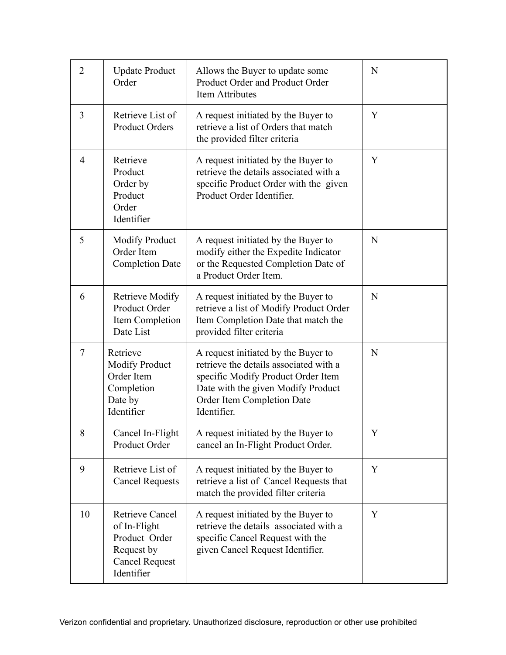| $\overline{2}$ | <b>Update Product</b><br>Order                                                                               | Allows the Buyer to update some<br>Product Order and Product Order<br><b>Item Attributes</b>                                                                                                           | N |
|----------------|--------------------------------------------------------------------------------------------------------------|--------------------------------------------------------------------------------------------------------------------------------------------------------------------------------------------------------|---|
| 3              | Retrieve List of<br><b>Product Orders</b>                                                                    | A request initiated by the Buyer to<br>retrieve a list of Orders that match<br>the provided filter criteria                                                                                            | Y |
| $\overline{4}$ | Retrieve<br>Product<br>Order by<br>Product<br>Order<br>Identifier                                            | A request initiated by the Buyer to<br>retrieve the details associated with a<br>specific Product Order with the given<br>Product Order Identifier.                                                    | Y |
| 5              | <b>Modify Product</b><br>Order Item<br><b>Completion Date</b>                                                | A request initiated by the Buyer to<br>modify either the Expedite Indicator<br>or the Requested Completion Date of<br>a Product Order Item.                                                            | N |
| 6              | <b>Retrieve Modify</b><br>Product Order<br>Item Completion<br>Date List                                      | A request initiated by the Buyer to<br>retrieve a list of Modify Product Order<br>Item Completion Date that match the<br>provided filter criteria                                                      | N |
| $\tau$         | Retrieve<br><b>Modify Product</b><br>Order Item<br>Completion<br>Date by<br>Identifier                       | A request initiated by the Buyer to<br>retrieve the details associated with a<br>specific Modify Product Order Item<br>Date with the given Modify Product<br>Order Item Completion Date<br>Identifier. | N |
| 8              | Cancel In-Flight<br>Product Order                                                                            | A request initiated by the Buyer to<br>cancel an In-Flight Product Order.                                                                                                                              | Y |
| 9              | Retrieve List of<br><b>Cancel Requests</b>                                                                   | A request initiated by the Buyer to<br>retrieve a list of Cancel Requests that<br>match the provided filter criteria                                                                                   | Y |
| 10             | <b>Retrieve Cancel</b><br>of In-Flight<br>Product Order<br>Request by<br><b>Cancel Request</b><br>Identifier | A request initiated by the Buyer to<br>retrieve the details associated with a<br>specific Cancel Request with the<br>given Cancel Request Identifier.                                                  | Y |